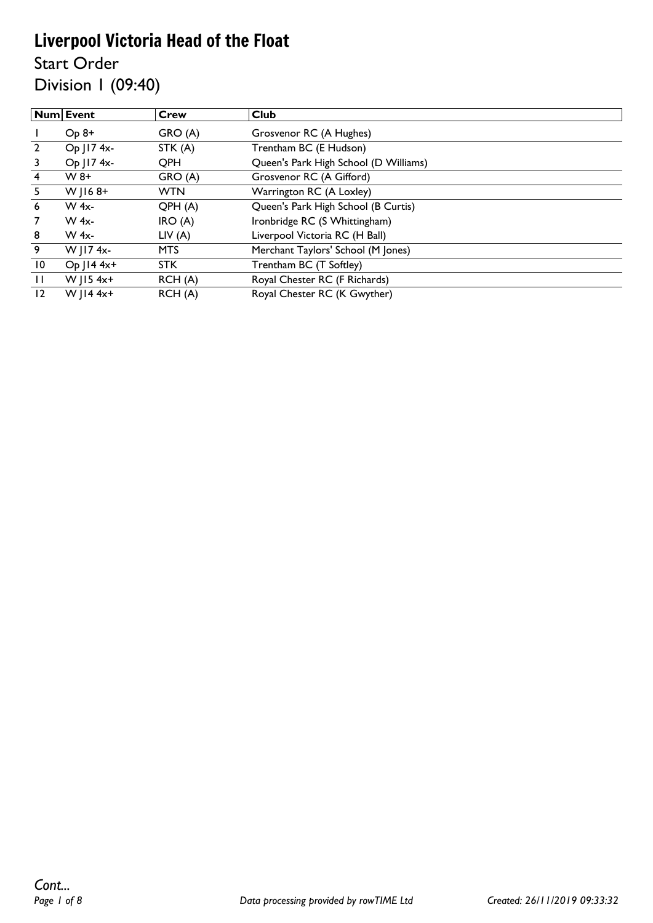Start Order

Division 1 (09:40)

|                | Num Event       | Crew       | Club                                  |
|----------------|-----------------|------------|---------------------------------------|
|                | $Op 8+$         | GRO(A)     | Grosvenor RC (A Hughes)               |
| $\overline{2}$ | Op J17 4x-      | STK(A)     | Trentham BC (E Hudson)                |
|                | Op   17 4x-     | QPH        | Queen's Park High School (D Williams) |
| 4              | $W_8+$          | GRO (A)    | Grosvenor RC (A Gifford)              |
| 5.             | $W$   168+      | <b>WTN</b> | Warrington RC (A Loxley)              |
| 6              | $W$ 4x-         | QPH(A)     | Queen's Park High School (B Curtis)   |
| 7              | $W$ 4x-         | IRO(A)     | Ironbridge RC (S Whittingham)         |
| 8              | $W$ 4x-         | LIV(A)     | Liverpool Victoria RC (H Ball)        |
| 9              | W J17 4x-       | <b>MTS</b> | Merchant Taylors' School (M Jones)    |
| 10             | $Op$   $14$ 4x+ | <b>STK</b> | Trentham BC (T Softley)               |
| $\mathbf{H}$   | W   $154x+$     | RCH(A)     | Royal Chester RC (F Richards)         |
| 12             | W   $14$ 4x+    | RCH (A)    | Royal Chester RC (K Gwyther)          |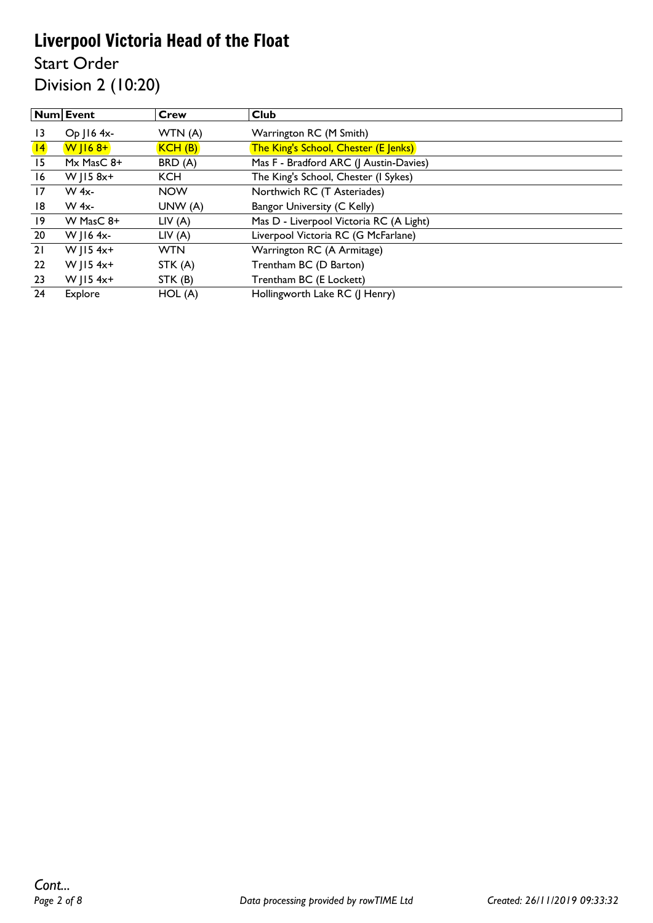Start Order

Division 2 (10:20)

|                 | Num Event     | Crew       | <b>Club</b>                             |
|-----------------|---------------|------------|-----------------------------------------|
| $\overline{13}$ | $Op$   16 4x- | WTN (A)    | Warrington RC (M Smith)                 |
| 4               | $W$   $168+$  | KCH(B)     | The King's School, Chester (E Jenks)    |
| 15              | Mx MasC 8+    | BRD (A)    | Mas F - Bradford ARC (J Austin-Davies)  |
| 16              | W   15 8x+    | <b>KCH</b> | The King's School, Chester (I Sykes)    |
| 17              | $W$ 4x-       | <b>NOW</b> | Northwich RC (T Asteriades)             |
| 18              | W 4x-         | UNW(A)     | Bangor University (C Kelly)             |
| $\overline{19}$ | W MasC 8+     | LIV(A)     | Mas D - Liverpool Victoria RC (A Light) |
| 20              | W   $16$ 4x-  | LIV(A)     | Liverpool Victoria RC (G McFarlane)     |
| 21              | W $ 15 4x+$   | <b>WTN</b> | Warrington RC (A Armitage)              |
| 22              | W $ 15 4x+$   | STK (A)    | Trentham BC (D Barton)                  |
| 23              | W   $154x+$   | STK (B)    | Trentham BC (E Lockett)                 |
| 24              | Explore       | HOL(A)     | Hollingworth Lake RC (J Henry)          |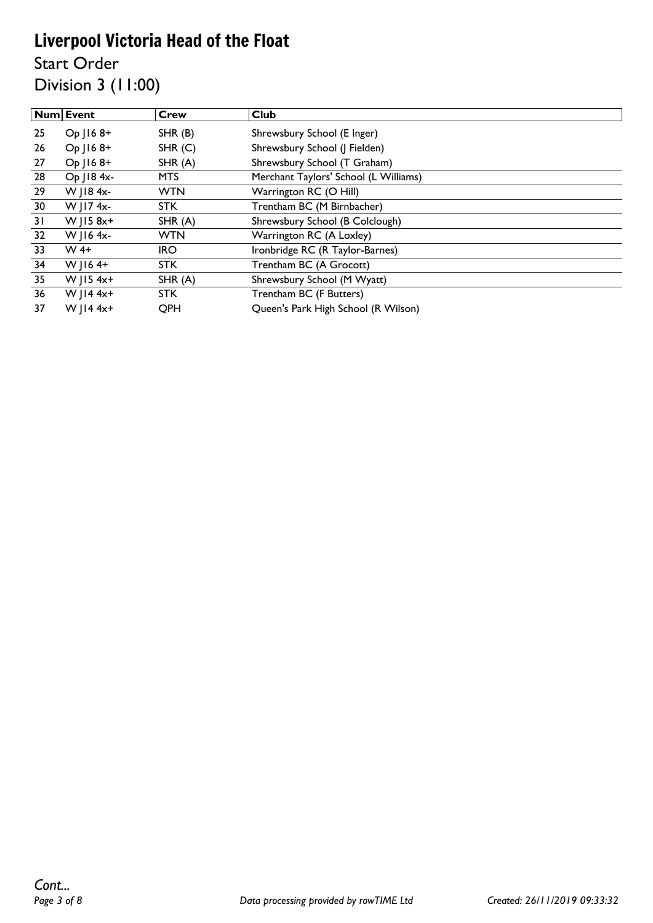Start Order Division 3 (11:00)

|    | Num Event   | Crew       | <b>Club</b>                           |
|----|-------------|------------|---------------------------------------|
| 25 | Op J168+    | SHR(B)     | Shrewsbury School (E Inger)           |
| 26 | Op J168+    | SHR(C)     | Shrewsbury School (J Fielden)         |
| 27 | $Op$ J16 8+ | SHR(A)     | Shrewsbury School (T Graham)          |
| 28 | Op J18 4x-  | <b>MTS</b> | Merchant Taylors' School (L Williams) |
| 29 | W J18 4x-   | <b>WTN</b> | Warrington RC (O Hill)                |
| 30 | W J17 4x-   | <b>STK</b> | Trentham BC (M Birnbacher)            |
| 31 | W $ 15.8x+$ | SHR(A)     | Shrewsbury School (B Colclough)       |
| 32 | W J16 4x-   | <b>WTN</b> | Warrington RC (A Loxley)              |
| 33 | $W$ 4+      | <b>IRO</b> | Ironbridge RC (R Taylor-Barnes)       |
| 34 | W $ 164+$   | <b>STK</b> | Trentham BC (A Grocott)               |
| 35 | W $ 15 4x+$ | SHR(A)     | Shrewsbury School (M Wyatt)           |
| 36 | W JI4 $4x+$ | STK.       | Trentham BC (F Butters)               |
| 37 | W $  4 4x+$ | QPH        | Queen's Park High School (R Wilson)   |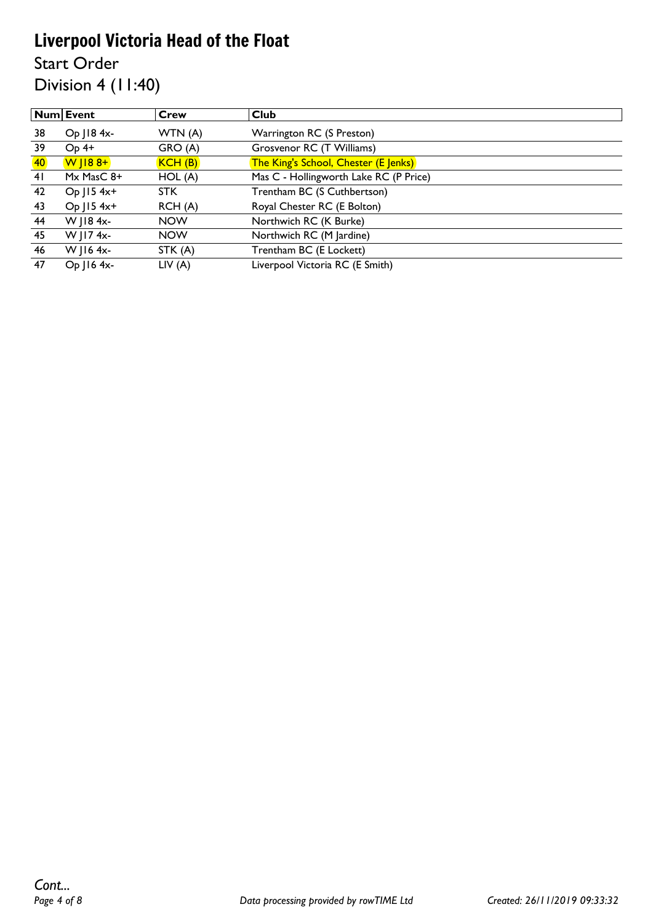Start Order

Division 4 (11:40)

|           | <b>Num Event</b> | Crew       | <b>Club</b>                            |
|-----------|------------------|------------|----------------------------------------|
| 38        | Op   18 4x-      | WTN (A)    | Warrington RC (S Preston)              |
| 39        | $Op$ 4+          | GRO (A)    | Grosvenor RC (T Williams)              |
| <b>40</b> | $W$   $188+$     | KCH(B)     | The King's School, Chester (E Jenks)   |
| 41        | $Mx$ MasC $8+$   | HOL(A)     | Mas C - Hollingworth Lake RC (P Price) |
| 42        | Op   15 4x+      | STK.       | Trentham BC (S Cuthbertson)            |
| 43        | $Op$   15 4x+    | RCH(A)     | Royal Chester RC (E Bolton)            |
| 44        | W   18 4x-       | <b>NOW</b> | Northwich RC (K Burke)                 |
| 45        | W   I7 4x-       | <b>NOW</b> | Northwich RC (M Jardine)               |
| 46        | W J16 $4x-$      | STK (A)    | Trentham BC (E Lockett)                |
| 47        | $Op$   16 4x-    | LIV(A)     | Liverpool Victoria RC (E Smith)        |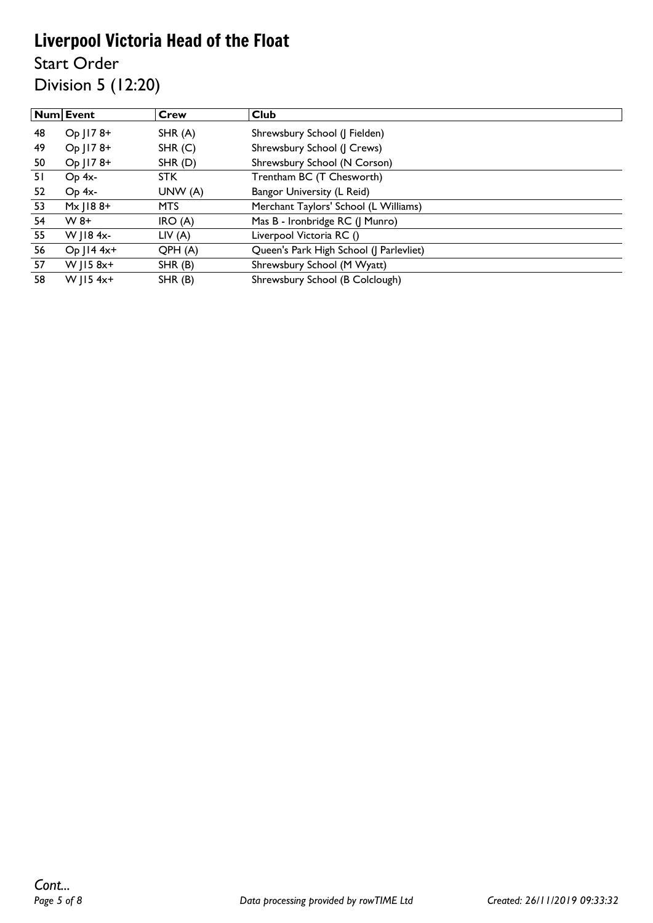Start Order

Division 5 (12:20)

|    | <b>Num Event</b>  | Crew    | Club                                    |
|----|-------------------|---------|-----------------------------------------|
| 48 | Op J178+          | SHR(A)  | Shrewsbury School (J Fielden)           |
| 49 | Op J178+          | SHR(C)  | Shrewsbury School (J Crews)             |
| 50 | Op J178+          | SHR(D)  | Shrewsbury School (N Corson)            |
| 51 | $Op 4x-$          | STK.    | Trentham BC (T Chesworth)               |
| 52 | Op 4x-            | UNW (A) | Bangor University (L Reid)              |
| 53 | $M \times$   188+ | MTS.    | Merchant Taylors' School (L Williams)   |
| 54 | $W_8+$            | IRO(A)  | Mas B - Ironbridge RC (J Munro)         |
| 55 | W $\vert$ 18 4x-  | LIV(A)  | Liverpool Victoria RC ()                |
| 56 | Op   14 4x+       | QPH(A)  | Queen's Park High School (J Parlevliet) |
| 57 | W $ 15 8x+$       | SHR(B)  | Shrewsbury School (M Wyatt)             |
| 58 | W   $154x+$       | SHR(B)  | Shrewsbury School (B Colclough)         |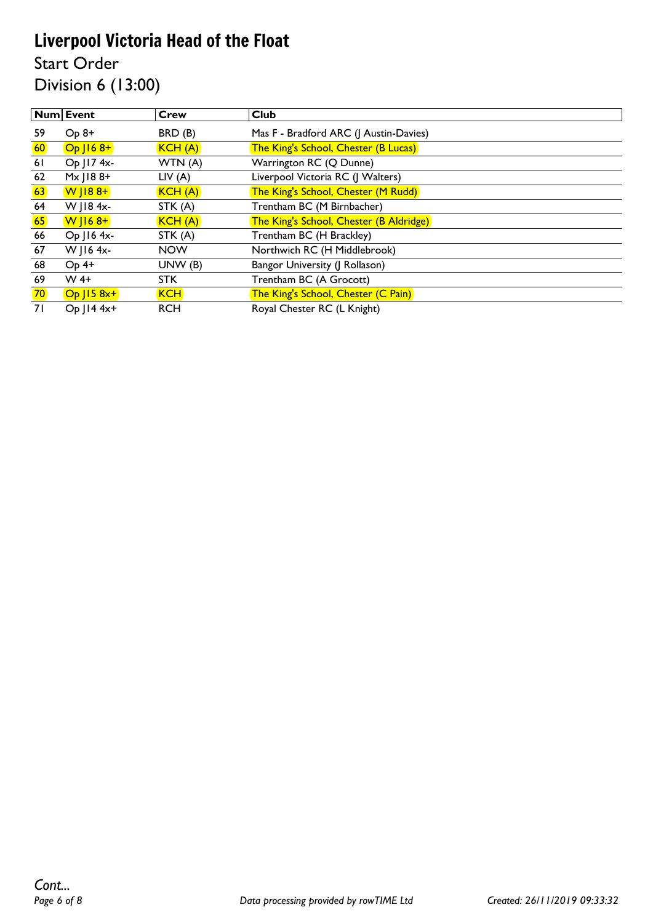Start Order Division 6 (13:00)

|                 | Num Event        | <b>Crew</b> | <b>Club</b>                                 |
|-----------------|------------------|-------------|---------------------------------------------|
| 59              | $Op 8+$          | BRD (B)     | Mas F - Bradford ARC (J Austin-Davies)      |
| 60              | $Op$ $168+$      | KCH(A)      | <b>The King's School, Chester (B Lucas)</b> |
| 61              | Op J17 4x-       | WTN (A)     | Warrington RC (Q Dunne)                     |
| 62              | $M \times$ J188+ | LIV(A)      | Liverpool Victoria RC (J Walters)           |
| 63              | $W$   188+       | KCH(A)      | The King's School, Chester (M Rudd)         |
| 64              | W J18 4x-        | STK (A)     | Trentham BC (M Birnbacher)                  |
| 65              | $W$   168+       | KCH(A)      | The King's School, Chester (B Aldridge)     |
| 66              | Op J16 4x-       | STK (A)     | Trentham BC (H Brackley)                    |
| 67              | W J16 4x-        | <b>NOW</b>  | Northwich RC (H Middlebrook)                |
| 68              | $Op$ 4+          | UNW (B)     | Bangor University (J Rollason)              |
| 69              | $W$ 4+           | <b>STK</b>  | Trentham BC (A Grocott)                     |
| 70 <sub>o</sub> | $Op$ $158x+$     | <b>KCH</b>  | The King's School, Chester (C Pain)         |
| 71              | Op   14 4x+      | <b>RCH</b>  | Royal Chester RC (L Knight)                 |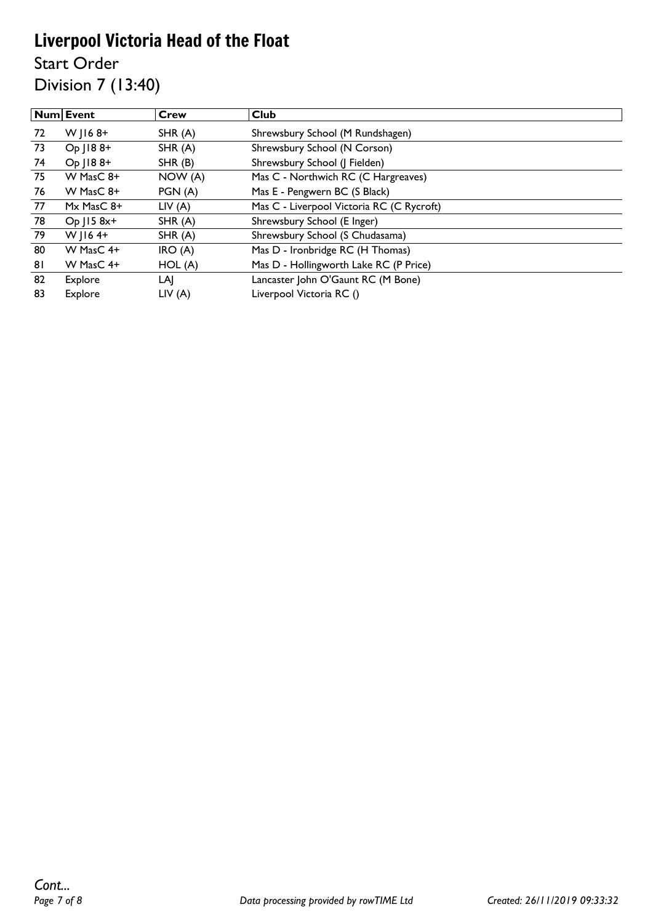Start Order

Division 7 (13:40)

|    | Num Event      | <b>Crew</b> | <b>Club</b>                               |
|----|----------------|-------------|-------------------------------------------|
| 72 | W $ 168+$      | SHR(A)      | Shrewsbury School (M Rundshagen)          |
| 73 | Op   188+      | SHR(A)      | Shrewsbury School (N Corson)              |
| 74 | Op   188+      | SHR(B)      | Shrewsbury School (J Fielden)             |
| 75 | W MasC 8+      | NOW(A)      | Mas C - Northwich RC (C Hargreaves)       |
| 76 | W MasC 8+      | PGN(A)      | Mas E - Pengwern BC (S Black)             |
| 77 | $Mx$ MasC $8+$ | LIV(A)      | Mas C - Liverpool Victoria RC (C Rycroft) |
| 78 | $Op$ J15 $8x+$ | SHR(A)      | Shrewsbury School (E Inger)               |
| 79 | W $ 164+$      | SHR(A)      | Shrewsbury School (S Chudasama)           |
| 80 | W MasC 4+      | IRO(A)      | Mas D - Ironbridge RC (H Thomas)          |
| 81 | W MasC 4+      | HOL(A)      | Mas D - Hollingworth Lake RC (P Price)    |
| 82 | Explore        | LAJ         | Lancaster John O'Gaunt RC (M Bone)        |
| 83 | Explore        | LIV(A)      | Liverpool Victoria RC ()                  |